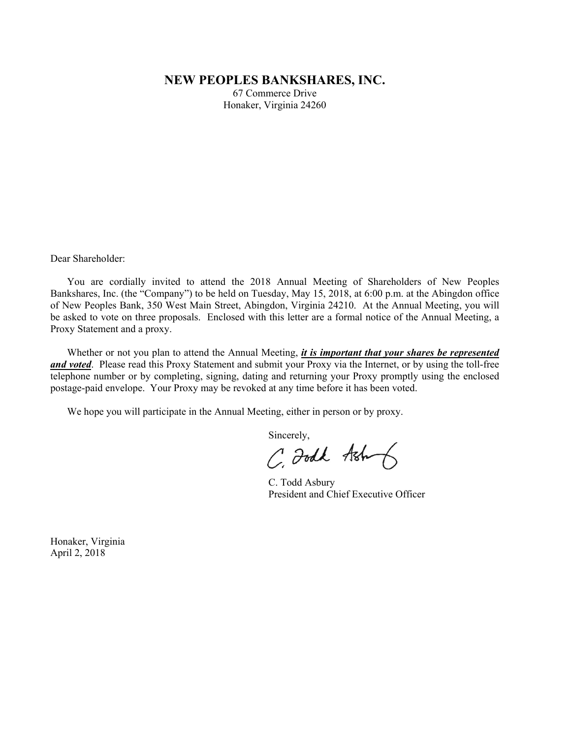# **NEW PEOPLES BANKSHARES, INC.**

67 Commerce Drive Honaker, Virginia 24260

Dear Shareholder:

 You are cordially invited to attend the 2018 Annual Meeting of Shareholders of New Peoples Bankshares, Inc. (the "Company") to be held on Tuesday, May 15, 2018, at 6:00 p.m. at the Abingdon office of New Peoples Bank, 350 West Main Street, Abingdon, Virginia 24210. At the Annual Meeting, you will be asked to vote on three proposals. Enclosed with this letter are a formal notice of the Annual Meeting, a Proxy Statement and a proxy.

 Whether or not you plan to attend the Annual Meeting, *it is important that your shares be represented and voted*. Please read this Proxy Statement and submit your Proxy via the Internet, or by using the toll-free telephone number or by completing, signing, dating and returning your Proxy promptly using the enclosed postage-paid envelope. Your Proxy may be revoked at any time before it has been voted.

We hope you will participate in the Annual Meeting, either in person or by proxy.

Sincerely,

C. Foodk Ash

C. Todd Asbury President and Chief Executive Officer

Honaker, Virginia April 2, 2018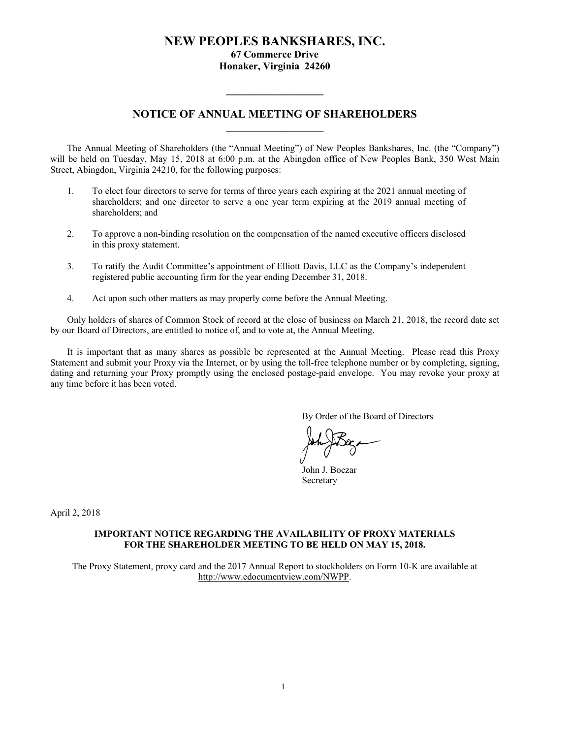# **NEW PEOPLES BANKSHARES, INC. 67 Commerce Drive Honaker, Virginia 24260**

# **NOTICE OF ANNUAL MEETING OF SHAREHOLDERS \_\_\_\_\_\_\_\_\_\_\_\_\_\_\_\_\_\_\_**

**\_\_\_\_\_\_\_\_\_\_\_\_\_\_\_\_\_\_\_** 

 The Annual Meeting of Shareholders (the "Annual Meeting") of New Peoples Bankshares, Inc. (the "Company") will be held on Tuesday, May 15, 2018 at 6:00 p.m. at the Abingdon office of New Peoples Bank, 350 West Main Street, Abingdon, Virginia 24210, for the following purposes:

- 1. To elect four directors to serve for terms of three years each expiring at the 2021 annual meeting of shareholders; and one director to serve a one year term expiring at the 2019 annual meeting of shareholders; and
- 2. To approve a non-binding resolution on the compensation of the named executive officers disclosed in this proxy statement.
- 3. To ratify the Audit Committee's appointment of Elliott Davis, LLC as the Company's independent registered public accounting firm for the year ending December 31, 2018.
- 4. Act upon such other matters as may properly come before the Annual Meeting.

 Only holders of shares of Common Stock of record at the close of business on March 21, 2018, the record date set by our Board of Directors, are entitled to notice of, and to vote at, the Annual Meeting.

It is important that as many shares as possible be represented at the Annual Meeting. Please read this Proxy Statement and submit your Proxy via the Internet, or by using the toll-free telephone number or by completing, signing, dating and returning your Proxy promptly using the enclosed postage-paid envelope. You may revoke your proxy at any time before it has been voted.

By Order of the Board of Directors

 John J. Boczar Secretary

April 2, 2018

### **IMPORTANT NOTICE REGARDING THE AVAILABILITY OF PROXY MATERIALS FOR THE SHAREHOLDER MEETING TO BE HELD ON MAY 15, 2018.**

The Proxy Statement, proxy card and the 2017 Annual Report to stockholders on Form 10-K are available at http://www.edocumentview.com/NWPP.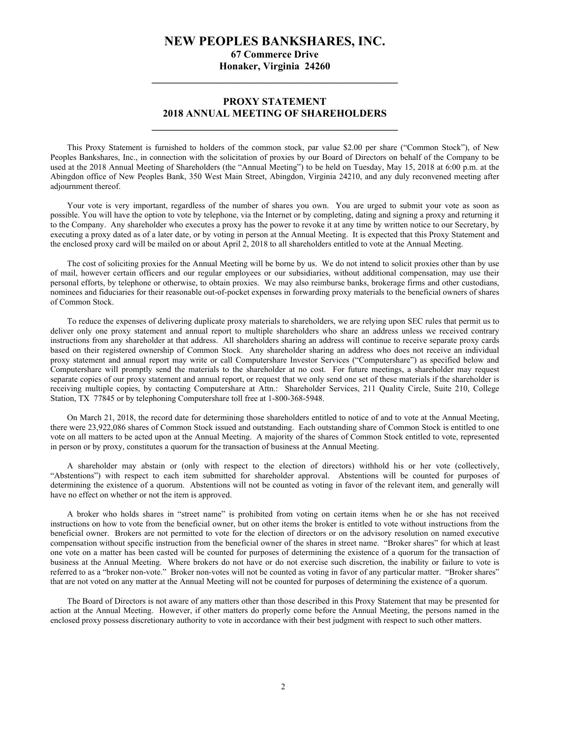# **NEW PEOPLES BANKSHARES, INC.**

**67 Commerce Drive Honaker, Virginia 24260 \_\_\_\_\_\_\_\_\_\_\_\_\_\_\_\_\_\_\_\_\_\_\_\_\_\_\_\_\_\_\_\_\_\_\_\_\_\_\_\_\_\_\_\_\_\_\_\_** 

# **PROXY STATEMENT 2018 ANNUAL MEETING OF SHAREHOLDERS \_\_\_\_\_\_\_\_\_\_\_\_\_\_\_\_\_\_\_\_\_\_\_\_\_\_\_\_\_\_\_\_\_\_\_\_\_\_\_\_\_\_\_\_\_\_\_\_**

This Proxy Statement is furnished to holders of the common stock, par value \$2.00 per share ("Common Stock"), of New Peoples Bankshares, Inc., in connection with the solicitation of proxies by our Board of Directors on behalf of the Company to be used at the 2018 Annual Meeting of Shareholders (the "Annual Meeting") to be held on Tuesday, May 15, 2018 at 6:00 p.m. at the Abingdon office of New Peoples Bank, 350 West Main Street, Abingdon, Virginia 24210, and any duly reconvened meeting after adjournment thereof.

Your vote is very important, regardless of the number of shares you own. You are urged to submit your vote as soon as possible. You will have the option to vote by telephone, via the Internet or by completing, dating and signing a proxy and returning it to the Company. Any shareholder who executes a proxy has the power to revoke it at any time by written notice to our Secretary, by executing a proxy dated as of a later date, or by voting in person at the Annual Meeting. It is expected that this Proxy Statement and the enclosed proxy card will be mailed on or about April 2, 2018 to all shareholders entitled to vote at the Annual Meeting.

 The cost of soliciting proxies for the Annual Meeting will be borne by us. We do not intend to solicit proxies other than by use of mail, however certain officers and our regular employees or our subsidiaries, without additional compensation, may use their personal efforts, by telephone or otherwise, to obtain proxies. We may also reimburse banks, brokerage firms and other custodians, nominees and fiduciaries for their reasonable out-of-pocket expenses in forwarding proxy materials to the beneficial owners of shares of Common Stock.

To reduce the expenses of delivering duplicate proxy materials to shareholders, we are relying upon SEC rules that permit us to deliver only one proxy statement and annual report to multiple shareholders who share an address unless we received contrary instructions from any shareholder at that address. All shareholders sharing an address will continue to receive separate proxy cards based on their registered ownership of Common Stock. Any shareholder sharing an address who does not receive an individual proxy statement and annual report may write or call Computershare Investor Services ("Computershare") as specified below and Computershare will promptly send the materials to the shareholder at no cost. For future meetings, a shareholder may request separate copies of our proxy statement and annual report, or request that we only send one set of these materials if the shareholder is receiving multiple copies, by contacting Computershare at Attn.: Shareholder Services, 211 Quality Circle, Suite 210, College Station, TX 77845 or by telephoning Computershare toll free at 1-800-368-5948.

 On March 21, 2018, the record date for determining those shareholders entitled to notice of and to vote at the Annual Meeting, there were 23,922,086 shares of Common Stock issued and outstanding. Each outstanding share of Common Stock is entitled to one vote on all matters to be acted upon at the Annual Meeting. A majority of the shares of Common Stock entitled to vote, represented in person or by proxy, constitutes a quorum for the transaction of business at the Annual Meeting.

 A shareholder may abstain or (only with respect to the election of directors) withhold his or her vote (collectively, "Abstentions") with respect to each item submitted for shareholder approval. Abstentions will be counted for purposes of determining the existence of a quorum. Abstentions will not be counted as voting in favor of the relevant item, and generally will have no effect on whether or not the item is approved.

 A broker who holds shares in "street name" is prohibited from voting on certain items when he or she has not received instructions on how to vote from the beneficial owner, but on other items the broker is entitled to vote without instructions from the beneficial owner. Brokers are not permitted to vote for the election of directors or on the advisory resolution on named executive compensation without specific instruction from the beneficial owner of the shares in street name. "Broker shares" for which at least one vote on a matter has been casted will be counted for purposes of determining the existence of a quorum for the transaction of business at the Annual Meeting. Where brokers do not have or do not exercise such discretion, the inability or failure to vote is referred to as a "broker non-vote." Broker non-votes will not be counted as voting in favor of any particular matter. "Broker shares" that are not voted on any matter at the Annual Meeting will not be counted for purposes of determining the existence of a quorum.

 The Board of Directors is not aware of any matters other than those described in this Proxy Statement that may be presented for action at the Annual Meeting. However, if other matters do properly come before the Annual Meeting, the persons named in the enclosed proxy possess discretionary authority to vote in accordance with their best judgment with respect to such other matters.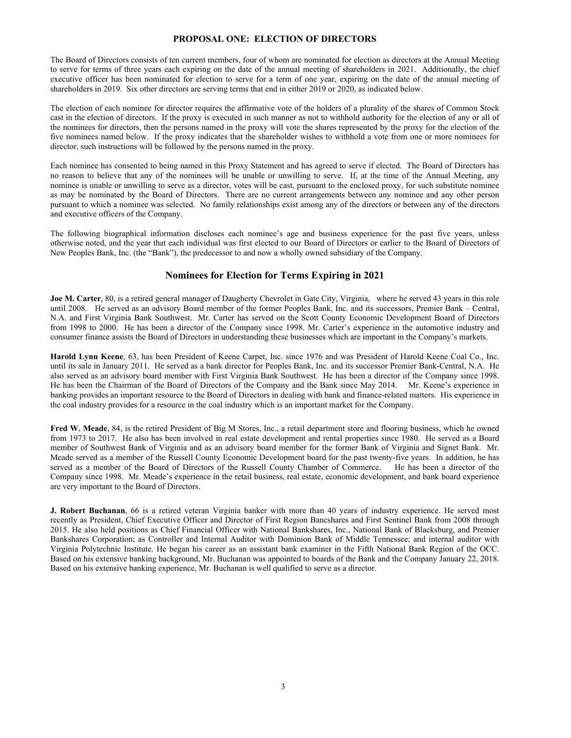### **PROPOSAL ONE: ELECTION OF DIRECTORS**

The Board of Directors consists of ten current members, four of whom are nominated for election as directors at the Annual Meeting to serve for terms of three years each expiring on the date of the annual meeting of shareholders in 2021. Additionally, the chief executive officer has been nominated for election to serve for a term of one year, expiring on the date of the annual meeting of shareholders in 2019. Six other directors are serving terms that end in either 2019 or 2020, as indicated below.

The election of each nominee for director requires the affirmative vote of the holders of a plurality of the shares of Common Stock cast in the election of directors. If the proxy is executed in such manner as not to withhold authority for the election of any or all of the nominees for directors, then the persons named in the proxy will vote the shares represented by the proxy for the election of the five nominees named below. If the proxy indicates that the shareholder wishes to withhold a vote from one or more nominees for director, such instructions will be followed by the persons named in the proxy.

Each nominee has consented to being named in this Proxy Statement and has agreed to serve if elected. The Board of Directors has no reason to believe that any of the nominees will be unable or unwilling to serve. If, at the time of the Annual Meeting, any nominee is unable or unwilling to serve as a director, votes will be cast, pursuant to the enclosed proxy, for such substitute nominee as may be nominated by the Board of Directors. There are no current arrangements between any nominee and any other person pursuant to which a nominee was selected. No family relationships exist among any of the directors or between any of the directors and executive officers of the Company.

The following biographical information discloses each nominee's age and business experience for the past five years, unless otherwise noted, and the year that each individual was first elected to our Board of Directors or earlier to the Board of Directors of New Peoples Bank, Inc. (the "Bank"), the predecessor to and now a wholly owned subsidiary of the Company.

### **Nominees for Election for Terms Expiring in 2021**

**Joe M. Carter**, 80, is a retired general manager of Daugherty Chevrolet in Gate City, Virginia, where he served 43 years in this role until 2008. He served as an advisory Board member of the former Peoples Bank, Inc. and its successors, Premier Bank – Central, N.A. and First Virginia Bank Southwest. Mr. Carter has served on the Scott County Economic Development Board of Directors from 1998 to 2000. He has been a director of the Company since 1998. Mr. Carter's experience in the automotive industry and consumer finance assists the Board of Directors in understanding these businesses which are important in the Company's markets.

**Harold Lynn Keene**, 63, has been President of Keene Carpet, Inc. since 1976 and was President of Harold Keene Coal Co., Inc. until its sale in January 2011. He served as a bank director for Peoples Bank, Inc. and its successor Premier Bank-Central, N.A. He also served as an advisory board member with First Virginia Bank Southwest. He has been a director of the Company since 1998. He has been the Chairman of the Board of Directors of the Company and the Bank since May 2014. Mr. Keene's experience in banking provides an important resource to the Board of Directors in dealing with bank and finance-related matters. His experience in the coal industry provides for a resource in the coal industry which is an important market for the Company.

**Fred W. Meade**, 84, is the retired President of Big M Stores, Inc., a retail department store and flooring business, which he owned from 1973 to 2017. He also has been involved in real estate development and rental properties since 1980. He served as a Board member of Southwest Bank of Virginia and as an advisory board member for the former Bank of Virginia and Signet Bank. Mr. Meade served as a member of the Russell County Economic Development board for the past twenty-five years. In addition, he has served as a member of the Board of Directors of the Russell County Chamber of Commerce. He has been a director of the Company since 1998. Mr. Meade's experience in the retail business, real estate, economic development, and bank board experience are very important to the Board of Directors.

**J. Robert Buchanan**, 66 is a retired veteran Virginia banker with more than 40 years of industry experience. He served most recently as President, Chief Executive Officer and Director of First Region Bancshares and First Sentinel Bank from 2008 through 2015. He also held positions as Chief Financial Officer with National Bankshares, Inc., National Bank of Blacksburg, and Premier Bankshares Corporation; as Controller and Internal Auditor with Dominion Bank of Middle Tennessee; and internal auditor with Virginia Polytechnic Institute. He began his career as an assistant bank examiner in the Fifth National Bank Region of the OCC. Based on his extensive banking background, Mr. Buchanan was appointed to boards of the Bank and the Company January 22, 2018. Based on his extensive banking experience, Mr. Buchanan is well qualified to serve as a director.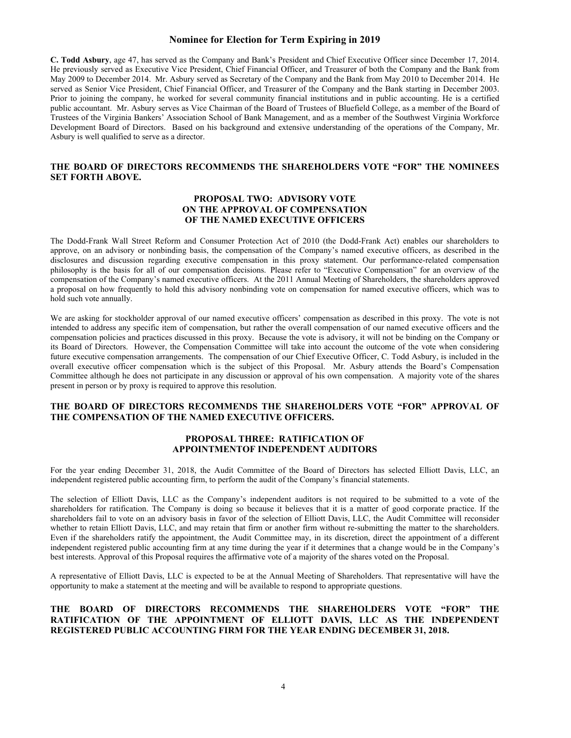### **Nominee for Election for Term Expiring in 2019**

**C. Todd Asbury**, age 47, has served as the Company and Bank's President and Chief Executive Officer since December 17, 2014. He previously served as Executive Vice President, Chief Financial Officer, and Treasurer of both the Company and the Bank from May 2009 to December 2014. Mr. Asbury served as Secretary of the Company and the Bank from May 2010 to December 2014. He served as Senior Vice President, Chief Financial Officer, and Treasurer of the Company and the Bank starting in December 2003. Prior to joining the company, he worked for several community financial institutions and in public accounting. He is a certified public accountant. Mr. Asbury serves as Vice Chairman of the Board of Trustees of Bluefield College, as a member of the Board of Trustees of the Virginia Bankers' Association School of Bank Management, and as a member of the Southwest Virginia Workforce Development Board of Directors. Based on his background and extensive understanding of the operations of the Company, Mr. Asbury is well qualified to serve as a director.

### **THE BOARD OF DIRECTORS RECOMMENDS THE SHAREHOLDERS VOTE "FOR" THE NOMINEES SET FORTH ABOVE.**

### **PROPOSAL TWO: ADVISORY VOTE ON THE APPROVAL OF COMPENSATION OF THE NAMED EXECUTIVE OFFICERS**

The Dodd-Frank Wall Street Reform and Consumer Protection Act of 2010 (the Dodd-Frank Act) enables our shareholders to approve, on an advisory or nonbinding basis, the compensation of the Company's named executive officers, as described in the disclosures and discussion regarding executive compensation in this proxy statement. Our performance-related compensation philosophy is the basis for all of our compensation decisions. Please refer to "Executive Compensation" for an overview of the compensation of the Company's named executive officers. At the 2011 Annual Meeting of Shareholders, the shareholders approved a proposal on how frequently to hold this advisory nonbinding vote on compensation for named executive officers, which was to hold such vote annually.

We are asking for stockholder approval of our named executive officers' compensation as described in this proxy. The vote is not intended to address any specific item of compensation, but rather the overall compensation of our named executive officers and the compensation policies and practices discussed in this proxy. Because the vote is advisory, it will not be binding on the Company or its Board of Directors. However, the Compensation Committee will take into account the outcome of the vote when considering future executive compensation arrangements. The compensation of our Chief Executive Officer, C. Todd Asbury, is included in the overall executive officer compensation which is the subject of this Proposal. Mr. Asbury attends the Board's Compensation Committee although he does not participate in any discussion or approval of his own compensation. A majority vote of the shares present in person or by proxy is required to approve this resolution.

### **THE BOARD OF DIRECTORS RECOMMENDS THE SHAREHOLDERS VOTE "FOR" APPROVAL OF THE COMPENSATION OF THE NAMED EXECUTIVE OFFICERS.**

### **PROPOSAL THREE: RATIFICATION OF APPOINTMENTOF INDEPENDENT AUDITORS**

For the year ending December 31, 2018, the Audit Committee of the Board of Directors has selected Elliott Davis, LLC, an independent registered public accounting firm, to perform the audit of the Company's financial statements.

The selection of Elliott Davis, LLC as the Company's independent auditors is not required to be submitted to a vote of the shareholders for ratification. The Company is doing so because it believes that it is a matter of good corporate practice. If the shareholders fail to vote on an advisory basis in favor of the selection of Elliott Davis, LLC, the Audit Committee will reconsider whether to retain Elliott Davis, LLC, and may retain that firm or another firm without re-submitting the matter to the shareholders. Even if the shareholders ratify the appointment, the Audit Committee may, in its discretion, direct the appointment of a different independent registered public accounting firm at any time during the year if it determines that a change would be in the Company's best interests. Approval of this Proposal requires the affirmative vote of a majority of the shares voted on the Proposal.

A representative of Elliott Davis, LLC is expected to be at the Annual Meeting of Shareholders. That representative will have the opportunity to make a statement at the meeting and will be available to respond to appropriate questions.

### **THE BOARD OF DIRECTORS RECOMMENDS THE SHAREHOLDERS VOTE "FOR" THE RATIFICATION OF THE APPOINTMENT OF ELLIOTT DAVIS, LLC AS THE INDEPENDENT REGISTERED PUBLIC ACCOUNTING FIRM FOR THE YEAR ENDING DECEMBER 31, 2018.**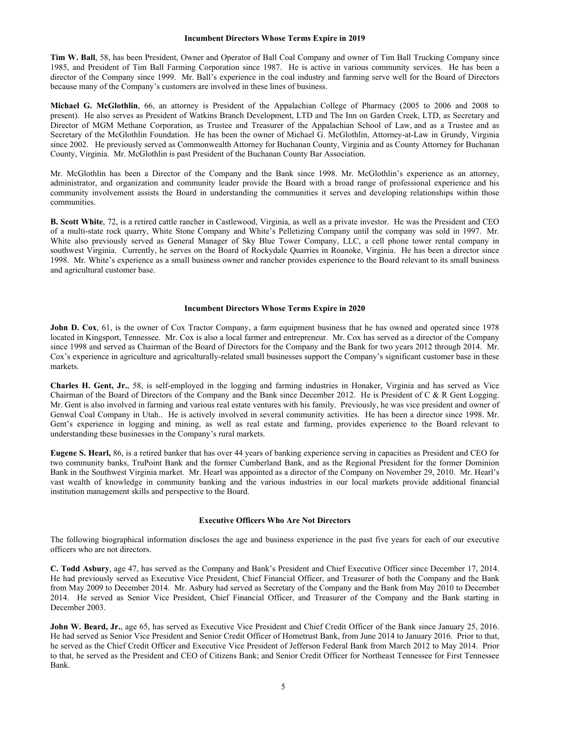#### **Incumbent Directors Whose Terms Expire in 2019**

**Tim W. Ball**, 58, has been President, Owner and Operator of Ball Coal Company and owner of Tim Ball Trucking Company since 1985, and President of Tim Ball Farming Corporation since 1987. He is active in various community services. He has been a director of the Company since 1999. Mr. Ball's experience in the coal industry and farming serve well for the Board of Directors because many of the Company's customers are involved in these lines of business.

**Michael G. McGlothlin**, 66, an attorney is President of the Appalachian College of Pharmacy (2005 to 2006 and 2008 to present). He also serves as President of Watkins Branch Development, LTD and The Inn on Garden Creek, LTD, as Secretary and Director of MGM Methane Corporation, as Trustee and Treasurer of the Appalachian School of Law, and as a Trustee and as Secretary of the McGlothlin Foundation. He has been the owner of Michael G. McGlothlin, Attorney-at-Law in Grundy, Virginia since 2002. He previously served as Commonwealth Attorney for Buchanan County, Virginia and as County Attorney for Buchanan County, Virginia. Mr. McGlothlin is past President of the Buchanan County Bar Association.

Mr. McGlothlin has been a Director of the Company and the Bank since 1998. Mr. McGlothlin's experience as an attorney, administrator, and organization and community leader provide the Board with a broad range of professional experience and his community involvement assists the Board in understanding the communities it serves and developing relationships within those communities.

**B. Scott White**, 72, is a retired cattle rancher in Castlewood, Virginia, as well as a private investor. He was the President and CEO of a multi-state rock quarry, White Stone Company and White's Pelletizing Company until the company was sold in 1997. Mr. White also previously served as General Manager of Sky Blue Tower Company, LLC, a cell phone tower rental company in southwest Virginia. Currently, he serves on the Board of Rockydale Quarries in Roanoke, Virginia. He has been a director since 1998. Mr. White's experience as a small business owner and rancher provides experience to the Board relevant to its small business and agricultural customer base.

#### **Incumbent Directors Whose Terms Expire in 2020**

**John D. Cox**, 61, is the owner of Cox Tractor Company, a farm equipment business that he has owned and operated since 1978 located in Kingsport, Tennessee. Mr. Cox is also a local farmer and entrepreneur. Mr. Cox has served as a director of the Company since 1998 and served as Chairman of the Board of Directors for the Company and the Bank for two years 2012 through 2014. Mr. Cox's experience in agriculture and agriculturally-related small businesses support the Company's significant customer base in these markets.

**Charles H. Gent, Jr.**, 58, is self-employed in the logging and farming industries in Honaker, Virginia and has served as Vice Chairman of the Board of Directors of the Company and the Bank since December 2012. He is President of C & R Gent Logging. Mr. Gent is also involved in farming and various real estate ventures with his family. Previously, he was vice president and owner of Genwal Coal Company in Utah.. He is actively involved in several community activities. He has been a director since 1998. Mr. Gent's experience in logging and mining, as well as real estate and farming, provides experience to the Board relevant to understanding these businesses in the Company's rural markets.

**Eugene S. Hearl,** 86, is a retired banker that has over 44 years of banking experience serving in capacities as President and CEO for two community banks, TruPoint Bank and the former Cumberland Bank, and as the Regional President for the former Dominion Bank in the Southwest Virginia market. Mr. Hearl was appointed as a director of the Company on November 29, 2010. Mr. Hearl's vast wealth of knowledge in community banking and the various industries in our local markets provide additional financial institution management skills and perspective to the Board.

### **Executive Officers Who Are Not Directors**

The following biographical information discloses the age and business experience in the past five years for each of our executive officers who are not directors.

**C. Todd Asbury**, age 47, has served as the Company and Bank's President and Chief Executive Officer since December 17, 2014. He had previously served as Executive Vice President, Chief Financial Officer, and Treasurer of both the Company and the Bank from May 2009 to December 2014. Mr. Asbury had served as Secretary of the Company and the Bank from May 2010 to December 2014. He served as Senior Vice President, Chief Financial Officer, and Treasurer of the Company and the Bank starting in December 2003.

**John W. Beard, Jr.**, age 65, has served as Executive Vice President and Chief Credit Officer of the Bank since January 25, 2016. He had served as Senior Vice President and Senior Credit Officer of Hometrust Bank, from June 2014 to January 2016. Prior to that, he served as the Chief Credit Officer and Executive Vice President of Jefferson Federal Bank from March 2012 to May 2014. Prior to that, he served as the President and CEO of Citizens Bank; and Senior Credit Officer for Northeast Tennessee for First Tennessee Bank.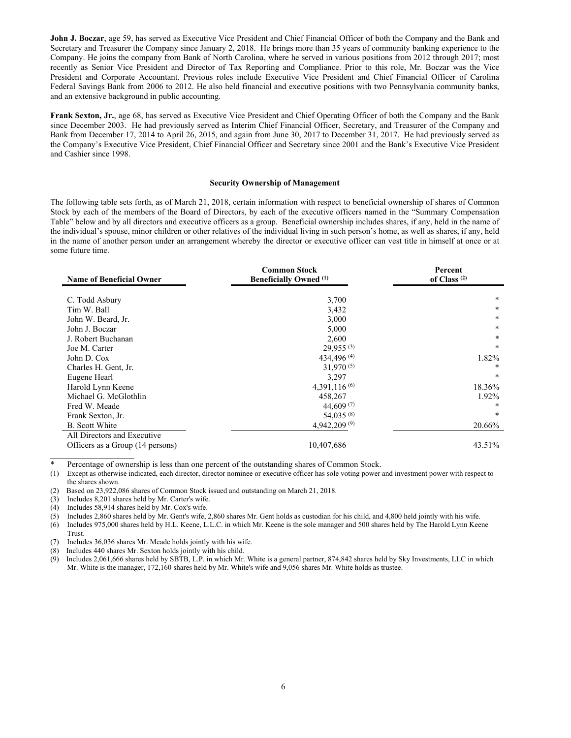**John J. Boczar**, age 59, has served as Executive Vice President and Chief Financial Officer of both the Company and the Bank and Secretary and Treasurer the Company since January 2, 2018. He brings more than 35 years of community banking experience to the Company. He joins the company from Bank of North Carolina, where he served in various positions from 2012 through 2017; most recently as Senior Vice President and Director of Tax Reporting and Compliance. Prior to this role, Mr. Boczar was the Vice President and Corporate Accountant. Previous roles include Executive Vice President and Chief Financial Officer of Carolina Federal Savings Bank from 2006 to 2012. He also held financial and executive positions with two Pennsylvania community banks, and an extensive background in public accounting.

**Frank Sexton, Jr.**, age 68, has served as Executive Vice President and Chief Operating Officer of both the Company and the Bank since December 2003. He had previously served as Interim Chief Financial Officer, Secretary, and Treasurer of the Company and Bank from December 17, 2014 to April 26, 2015, and again from June 30, 2017 to December 31, 2017. He had previously served as the Company's Executive Vice President, Chief Financial Officer and Secretary since 2001 and the Bank's Executive Vice President and Cashier since 1998.

#### **Security Ownership of Management**

The following table sets forth, as of March 21, 2018, certain information with respect to beneficial ownership of shares of Common Stock by each of the members of the Board of Directors, by each of the executive officers named in the "Summary Compensation Table" below and by all directors and executive officers as a group. Beneficial ownership includes shares, if any, held in the name of the individual's spouse, minor children or other relatives of the individual living in such person's home, as well as shares, if any, held in the name of another person under an arrangement whereby the director or executive officer can vest title in himself at once or at some future time.

| <b>Name of Beneficial Owner</b>  | <b>Common Stock</b><br><b>Beneficially Owned</b> (1) | Percent<br>of Class $(2)$ |  |
|----------------------------------|------------------------------------------------------|---------------------------|--|
|                                  |                                                      |                           |  |
| C. Todd Asbury                   | 3,700                                                | $\star$                   |  |
| Tim W. Ball                      | 3,432                                                | $\star$                   |  |
| John W. Beard, Jr.               | 3,000                                                | $\ast$                    |  |
| John J. Boczar                   | 5,000                                                | *                         |  |
| J. Robert Buchanan               | 2,600                                                | $\ast$                    |  |
| Joe M. Carter                    | $29,955^{(3)}$                                       | $\ast$                    |  |
| John D. Cox                      | 434,496 $(4)$                                        | 1.82%                     |  |
| Charles H. Gent, Jr.             | $31,970^{(5)}$                                       | *                         |  |
| Eugene Hearl                     | 3,297                                                | $\ast$                    |  |
| Harold Lynn Keene                | 4,391,116 $(6)$                                      | 18.36%                    |  |
| Michael G. McGlothlin            | 458,267                                              | 1.92%                     |  |
| Fred W. Meade                    | 44,609 $(7)$                                         | *                         |  |
| Frank Sexton, Jr.                | 54,035 (8)                                           | $\ast$                    |  |
| <b>B.</b> Scott White            | 4,942,209 $(9)$                                      | 20.66%                    |  |
| All Directors and Executive      |                                                      |                           |  |
| Officers as a Group (14 persons) | 10,407,686                                           | 43.51%                    |  |

Percentage of ownership is less than one percent of the outstanding shares of Common Stock.

(1) Except as otherwise indicated, each director, director nominee or executive officer has sole voting power and investment power with respect to the shares shown.

- (2) Based on 23,922,086 shares of Common Stock issued and outstanding on March 21, 2018.
- (3) Includes 8,201 shares held by Mr. Carter's wife.
- (4) Includes 58,914 shares held by Mr. Cox's wife.

֦

(5) Includes 2,860 shares held by Mr. Gent's wife, 2,860 shares Mr. Gent holds as custodian for his child, and 4,800 held jointly with his wife.

(6) Includes 975,000 shares held by H.L. Keene, L.L.C. in which Mr. Keene is the sole manager and 500 shares held by The Harold Lynn Keene Trust.

- (7) Includes 36,036 shares Mr. Meade holds jointly with his wife.
- (8) Includes 440 shares Mr. Sexton holds jointly with his child.
- (9) Includes 2,061,666 shares held by SBTB, L.P. in which Mr. White is a general partner, 874,842 shares held by Sky Investments, LLC in which Mr. White is the manager, 172,160 shares held by Mr. White's wife and 9,056 shares Mr. White holds as trustee.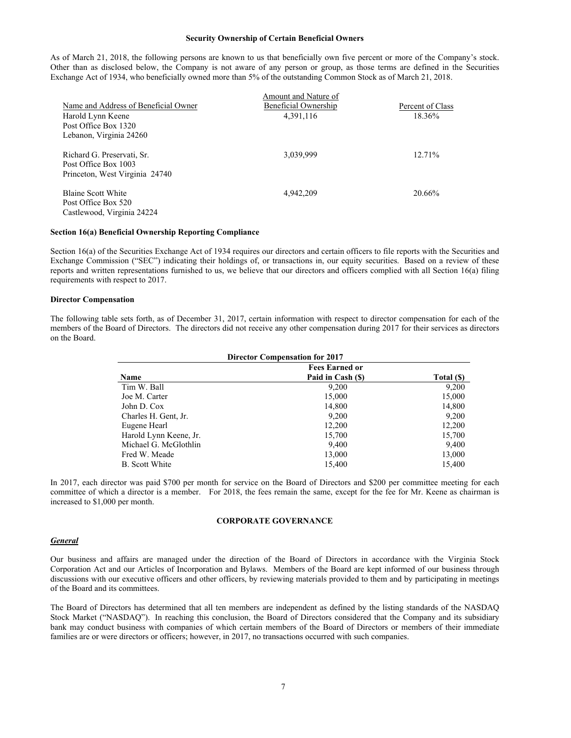#### **Security Ownership of Certain Beneficial Owners**

As of March 21, 2018, the following persons are known to us that beneficially own five percent or more of the Company's stock. Other than as disclosed below, the Company is not aware of any person or group, as those terms are defined in the Securities Exchange Act of 1934, who beneficially owned more than 5% of the outstanding Common Stock as of March 21, 2018.

|                                      | Amount and Nature of |                  |
|--------------------------------------|----------------------|------------------|
| Name and Address of Beneficial Owner | Beneficial Ownership | Percent of Class |
| Harold Lynn Keene                    | 4,391,116            | 18.36%           |
| Post Office Box 1320                 |                      |                  |
| Lebanon, Virginia 24260              |                      |                  |
| Richard G. Preservati, Sr.           | 3,039,999            | 12.71%           |
| Post Office Box 1003                 |                      |                  |
| Princeton, West Virginia 24740       |                      |                  |
| <b>Blaine Scott White</b>            | 4.942.209            | 20.66%           |
| Post Office Box 520                  |                      |                  |
| Castlewood, Virginia 24224           |                      |                  |

### **Section 16(a) Beneficial Ownership Reporting Compliance**

Section 16(a) of the Securities Exchange Act of 1934 requires our directors and certain officers to file reports with the Securities and Exchange Commission ("SEC") indicating their holdings of, or transactions in, our equity securities. Based on a review of these reports and written representations furnished to us, we believe that our directors and officers complied with all Section 16(a) filing requirements with respect to 2017.

#### **Director Compensation**

The following table sets forth, as of December 31, 2017, certain information with respect to director compensation for each of the members of the Board of Directors. The directors did not receive any other compensation during 2017 for their services as directors on the Board.

| <b>Director Compensation for 2017</b> |                   |            |  |  |  |  |
|---------------------------------------|-------------------|------------|--|--|--|--|
| <b>Fees Earned or</b>                 |                   |            |  |  |  |  |
| <b>Name</b>                           | Paid in Cash (\$) | Total (\$) |  |  |  |  |
| Tim W. Ball                           | 9,200             | 9,200      |  |  |  |  |
| Joe M. Carter                         | 15,000            | 15,000     |  |  |  |  |
| John D. Cox                           | 14,800            | 14,800     |  |  |  |  |
| Charles H. Gent, Jr.                  | 9.200             | 9,200      |  |  |  |  |
| Eugene Hearl                          | 12,200            | 12,200     |  |  |  |  |
| Harold Lynn Keene, Jr.                | 15,700            | 15,700     |  |  |  |  |
| Michael G. McGlothlin                 | 9,400             | 9,400      |  |  |  |  |
| Fred W. Meade                         | 13,000            | 13,000     |  |  |  |  |
| B. Scott White                        | 15,400            | 15,400     |  |  |  |  |

In 2017, each director was paid \$700 per month for service on the Board of Directors and \$200 per committee meeting for each committee of which a director is a member. For 2018, the fees remain the same, except for the fee for Mr. Keene as chairman is increased to \$1,000 per month.

#### **CORPORATE GOVERNANCE**

### *General*

Our business and affairs are managed under the direction of the Board of Directors in accordance with the Virginia Stock Corporation Act and our Articles of Incorporation and Bylaws. Members of the Board are kept informed of our business through discussions with our executive officers and other officers, by reviewing materials provided to them and by participating in meetings of the Board and its committees.

The Board of Directors has determined that all ten members are independent as defined by the listing standards of the NASDAQ Stock Market ("NASDAQ"). In reaching this conclusion, the Board of Directors considered that the Company and its subsidiary bank may conduct business with companies of which certain members of the Board of Directors or members of their immediate families are or were directors or officers; however, in 2017, no transactions occurred with such companies.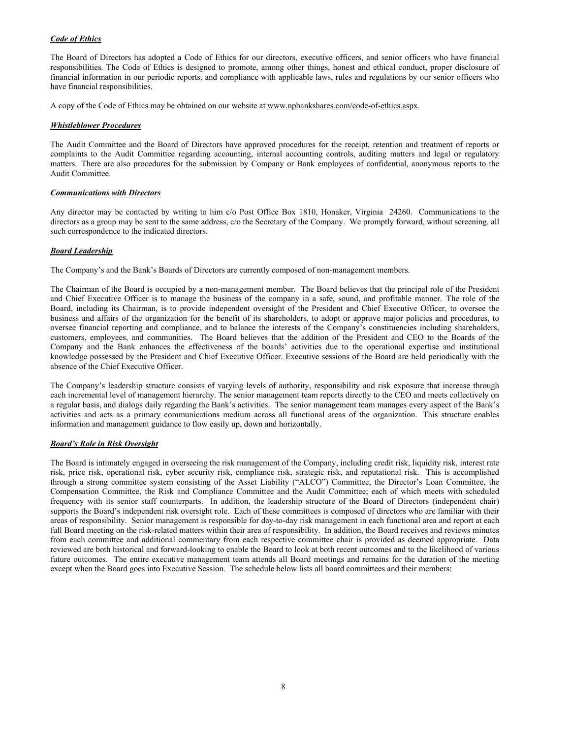### *Code of Ethics*

The Board of Directors has adopted a Code of Ethics for our directors, executive officers, and senior officers who have financial responsibilities. The Code of Ethics is designed to promote, among other things, honest and ethical conduct, proper disclosure of financial information in our periodic reports, and compliance with applicable laws, rules and regulations by our senior officers who have financial responsibilities.

A copy of the Code of Ethics may be obtained on our website at www.npbankshares.com/code-of-ethics.aspx.

### *Whistleblower Procedures*

The Audit Committee and the Board of Directors have approved procedures for the receipt, retention and treatment of reports or complaints to the Audit Committee regarding accounting, internal accounting controls, auditing matters and legal or regulatory matters. There are also procedures for the submission by Company or Bank employees of confidential, anonymous reports to the Audit Committee.

### *Communications with Directors*

Any director may be contacted by writing to him c/o Post Office Box 1810, Honaker, Virginia 24260. Communications to the directors as a group may be sent to the same address,  $c$ /o the Secretary of the Company. We promptly forward, without screening, all such correspondence to the indicated directors.

### *Board Leadership*

The Company's and the Bank's Boards of Directors are currently composed of non-management members.

The Chairman of the Board is occupied by a non-management member. The Board believes that the principal role of the President and Chief Executive Officer is to manage the business of the company in a safe, sound, and profitable manner. The role of the Board, including its Chairman, is to provide independent oversight of the President and Chief Executive Officer, to oversee the business and affairs of the organization for the benefit of its shareholders, to adopt or approve major policies and procedures, to oversee financial reporting and compliance, and to balance the interests of the Company's constituencies including shareholders, customers, employees, and communities. The Board believes that the addition of the President and CEO to the Boards of the Company and the Bank enhances the effectiveness of the boards' activities due to the operational expertise and institutional knowledge possessed by the President and Chief Executive Officer. Executive sessions of the Board are held periodically with the absence of the Chief Executive Officer.

The Company's leadership structure consists of varying levels of authority, responsibility and risk exposure that increase through each incremental level of management hierarchy. The senior management team reports directly to the CEO and meets collectively on a regular basis, and dialogs daily regarding the Bank's activities. The senior management team manages every aspect of the Bank's activities and acts as a primary communications medium across all functional areas of the organization. This structure enables information and management guidance to flow easily up, down and horizontally.

### *Board's Role in Risk Oversight*

The Board is intimately engaged in overseeing the risk management of the Company, including credit risk, liquidity risk, interest rate risk, price risk, operational risk, cyber security risk, compliance risk, strategic risk, and reputational risk. This is accomplished through a strong committee system consisting of the Asset Liability ("ALCO") Committee, the Director's Loan Committee, the Compensation Committee, the Risk and Compliance Committee and the Audit Committee; each of which meets with scheduled frequency with its senior staff counterparts. In addition, the leadership structure of the Board of Directors (independent chair) supports the Board's independent risk oversight role. Each of these committees is composed of directors who are familiar with their areas of responsibility. Senior management is responsible for day-to-day risk management in each functional area and report at each full Board meeting on the risk-related matters within their area of responsibility. In addition, the Board receives and reviews minutes from each committee and additional commentary from each respective committee chair is provided as deemed appropriate. Data reviewed are both historical and forward-looking to enable the Board to look at both recent outcomes and to the likelihood of various future outcomes. The entire executive management team attends all Board meetings and remains for the duration of the meeting except when the Board goes into Executive Session. The schedule below lists all board committees and their members: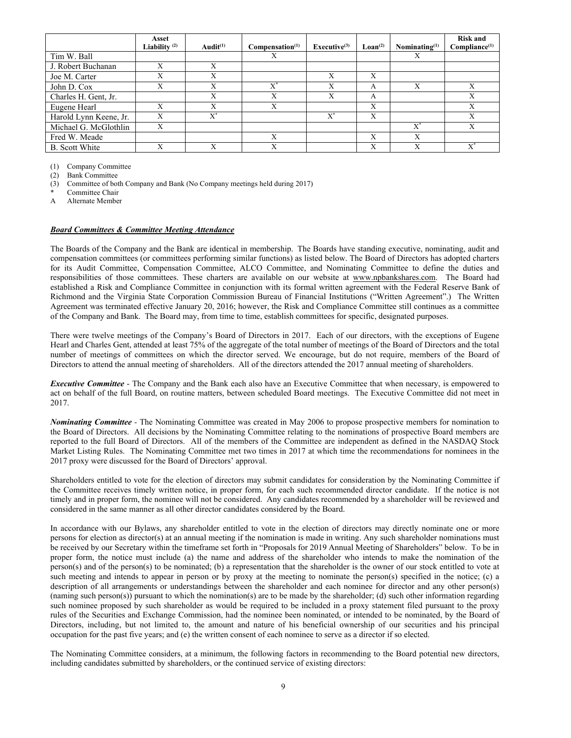|                        | Asset<br>Liability $(2)$ | Audit $(1)$ | Compensation <sup>(1)</sup> | Executive $(3)$ | $\mathbf{L}\mathbf{o}\mathbf{a}\mathbf{n}^{(2)}$ | Nominating $(1)$ | <b>Risk and</b><br>Compliance <sup>(1)</sup> |
|------------------------|--------------------------|-------------|-----------------------------|-----------------|--------------------------------------------------|------------------|----------------------------------------------|
| Tim W. Ball            |                          |             | Х                           |                 |                                                  | Х                |                                              |
| J. Robert Buchanan     | X                        | X           |                             |                 |                                                  |                  |                                              |
| Joe M. Carter          | X                        | X           |                             | X               | X                                                |                  |                                              |
| John D. Cox            | v<br>л                   | X           | $\mathbf{v}^*$              | A               | А                                                | X                | Х                                            |
| Charles H. Gent, Jr.   |                          | X           | X                           | X               | А                                                |                  | Х                                            |
| Eugene Hearl           | $\mathbf v$              | X           | X                           |                 | X                                                |                  | X                                            |
| Harold Lynn Keene, Jr. | v<br>$\lambda$           | $X^*$       |                             | $X^*$           | X                                                |                  | X                                            |
| Michael G. McGlothlin  | X                        |             |                             |                 |                                                  | $X^*$            | Х                                            |
| Fred W. Meade          |                          |             | X                           |                 | X                                                | X                |                                              |
| <b>B.</b> Scott White  | v                        | $\mathbf v$ | $\mathbf v$                 |                 | Х                                                | v                | $\mathbf{v}^*$                               |

(1) Company Committee

(2) Bank Committee

(3) Committee of both Company and Bank (No Company meetings held during 2017)

Committee Chair

A Alternate Member

### *Board Committees & Committee Meeting Attendance*

The Boards of the Company and the Bank are identical in membership. The Boards have standing executive, nominating, audit and compensation committees (or committees performing similar functions) as listed below. The Board of Directors has adopted charters for its Audit Committee, Compensation Committee, ALCO Committee, and Nominating Committee to define the duties and responsibilities of those committees. These charters are available on our website at www.npbankshares.com. The Board had established a Risk and Compliance Committee in conjunction with its formal written agreement with the Federal Reserve Bank of Richmond and the Virginia State Corporation Commission Bureau of Financial Institutions ("Written Agreement".) The Written Agreement was terminated effective January 20, 2016; however, the Risk and Compliance Committee still continues as a committee of the Company and Bank. The Board may, from time to time, establish committees for specific, designated purposes.

There were twelve meetings of the Company's Board of Directors in 2017. Each of our directors, with the exceptions of Eugene Hearl and Charles Gent, attended at least 75% of the aggregate of the total number of meetings of the Board of Directors and the total number of meetings of committees on which the director served. We encourage, but do not require, members of the Board of Directors to attend the annual meeting of shareholders. All of the directors attended the 2017 annual meeting of shareholders.

*Executive Committee* - The Company and the Bank each also have an Executive Committee that when necessary, is empowered to act on behalf of the full Board, on routine matters, between scheduled Board meetings. The Executive Committee did not meet in 2017.

*Nominating Committee -* The Nominating Committee was created in May 2006 to propose prospective members for nomination to the Board of Directors. All decisions by the Nominating Committee relating to the nominations of prospective Board members are reported to the full Board of Directors. All of the members of the Committee are independent as defined in the NASDAQ Stock Market Listing Rules. The Nominating Committee met two times in 2017 at which time the recommendations for nominees in the 2017 proxy were discussed for the Board of Directors' approval.

Shareholders entitled to vote for the election of directors may submit candidates for consideration by the Nominating Committee if the Committee receives timely written notice, in proper form, for each such recommended director candidate. If the notice is not timely and in proper form, the nominee will not be considered. Any candidates recommended by a shareholder will be reviewed and considered in the same manner as all other director candidates considered by the Board.

In accordance with our Bylaws, any shareholder entitled to vote in the election of directors may directly nominate one or more persons for election as director(s) at an annual meeting if the nomination is made in writing. Any such shareholder nominations must be received by our Secretary within the timeframe set forth in "Proposals for 2019 Annual Meeting of Shareholders" below. To be in proper form, the notice must include (a) the name and address of the shareholder who intends to make the nomination of the person(s) and of the person(s) to be nominated; (b) a representation that the shareholder is the owner of our stock entitled to vote at such meeting and intends to appear in person or by proxy at the meeting to nominate the person(s) specified in the notice; (c) a description of all arrangements or understandings between the shareholder and each nominee for director and any other person(s) (naming such person(s)) pursuant to which the nomination(s) are to be made by the shareholder; (d) such other information regarding such nominee proposed by such shareholder as would be required to be included in a proxy statement filed pursuant to the proxy rules of the Securities and Exchange Commission, had the nominee been nominated, or intended to be nominated, by the Board of Directors, including, but not limited to, the amount and nature of his beneficial ownership of our securities and his principal occupation for the past five years; and (e) the written consent of each nominee to serve as a director if so elected.

The Nominating Committee considers, at a minimum, the following factors in recommending to the Board potential new directors, including candidates submitted by shareholders, or the continued service of existing directors: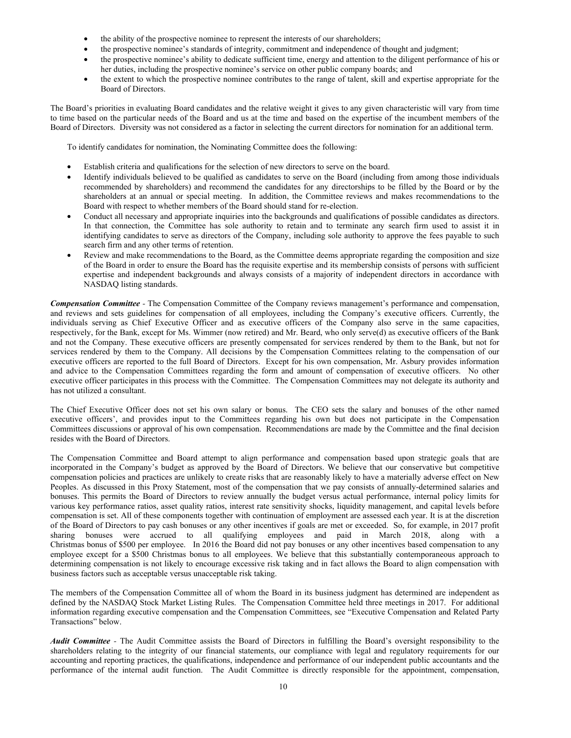- the ability of the prospective nominee to represent the interests of our shareholders;
- the prospective nominee's standards of integrity, commitment and independence of thought and judgment;
- the prospective nominee's ability to dedicate sufficient time, energy and attention to the diligent performance of his or her duties, including the prospective nominee's service on other public company boards; and
- the extent to which the prospective nominee contributes to the range of talent, skill and expertise appropriate for the Board of Directors.

The Board's priorities in evaluating Board candidates and the relative weight it gives to any given characteristic will vary from time to time based on the particular needs of the Board and us at the time and based on the expertise of the incumbent members of the Board of Directors. Diversity was not considered as a factor in selecting the current directors for nomination for an additional term.

To identify candidates for nomination, the Nominating Committee does the following:

- Establish criteria and qualifications for the selection of new directors to serve on the board.
- Identify individuals believed to be qualified as candidates to serve on the Board (including from among those individuals recommended by shareholders) and recommend the candidates for any directorships to be filled by the Board or by the shareholders at an annual or special meeting. In addition, the Committee reviews and makes recommendations to the Board with respect to whether members of the Board should stand for re-election.
- Conduct all necessary and appropriate inquiries into the backgrounds and qualifications of possible candidates as directors. In that connection, the Committee has sole authority to retain and to terminate any search firm used to assist it in identifying candidates to serve as directors of the Company, including sole authority to approve the fees payable to such search firm and any other terms of retention.
- Review and make recommendations to the Board, as the Committee deems appropriate regarding the composition and size of the Board in order to ensure the Board has the requisite expertise and its membership consists of persons with sufficient expertise and independent backgrounds and always consists of a majority of independent directors in accordance with NASDAQ listing standards.

*Compensation Committee -* The Compensation Committee of the Company reviews management's performance and compensation, and reviews and sets guidelines for compensation of all employees, including the Company's executive officers. Currently, the individuals serving as Chief Executive Officer and as executive officers of the Company also serve in the same capacities, respectively, for the Bank, except for Ms. Wimmer (now retired) and Mr. Beard, who only serve(d) as executive officers of the Bank and not the Company. These executive officers are presently compensated for services rendered by them to the Bank, but not for services rendered by them to the Company. All decisions by the Compensation Committees relating to the compensation of our executive officers are reported to the full Board of Directors. Except for his own compensation, Mr. Asbury provides information and advice to the Compensation Committees regarding the form and amount of compensation of executive officers. No other executive officer participates in this process with the Committee. The Compensation Committees may not delegate its authority and has not utilized a consultant.

The Chief Executive Officer does not set his own salary or bonus. The CEO sets the salary and bonuses of the other named executive officers', and provides input to the Committees regarding his own but does not participate in the Compensation Committees discussions or approval of his own compensation. Recommendations are made by the Committee and the final decision resides with the Board of Directors.

The Compensation Committee and Board attempt to align performance and compensation based upon strategic goals that are incorporated in the Company's budget as approved by the Board of Directors. We believe that our conservative but competitive compensation policies and practices are unlikely to create risks that are reasonably likely to have a materially adverse effect on New Peoples. As discussed in this Proxy Statement, most of the compensation that we pay consists of annually-determined salaries and bonuses. This permits the Board of Directors to review annually the budget versus actual performance, internal policy limits for various key performance ratios, asset quality ratios, interest rate sensitivity shocks, liquidity management, and capital levels before compensation is set. All of these components together with continuation of employment are assessed each year. It is at the discretion of the Board of Directors to pay cash bonuses or any other incentives if goals are met or exceeded. So, for example, in 2017 profit sharing bonuses were accrued to all qualifying employees and paid in March 2018, along with a Christmas bonus of \$500 per employee. In 2016 the Board did not pay bonuses or any other incentives based compensation to any employee except for a \$500 Christmas bonus to all employees. We believe that this substantially contemporaneous approach to determining compensation is not likely to encourage excessive risk taking and in fact allows the Board to align compensation with business factors such as acceptable versus unacceptable risk taking.

The members of the Compensation Committee all of whom the Board in its business judgment has determined are independent as defined by the NASDAQ Stock Market Listing Rules. The Compensation Committee held three meetings in 2017. For additional information regarding executive compensation and the Compensation Committees, see "Executive Compensation and Related Party Transactions" below.

*Audit Committee -* The Audit Committee assists the Board of Directors in fulfilling the Board's oversight responsibility to the shareholders relating to the integrity of our financial statements, our compliance with legal and regulatory requirements for our accounting and reporting practices, the qualifications, independence and performance of our independent public accountants and the performance of the internal audit function. The Audit Committee is directly responsible for the appointment, compensation,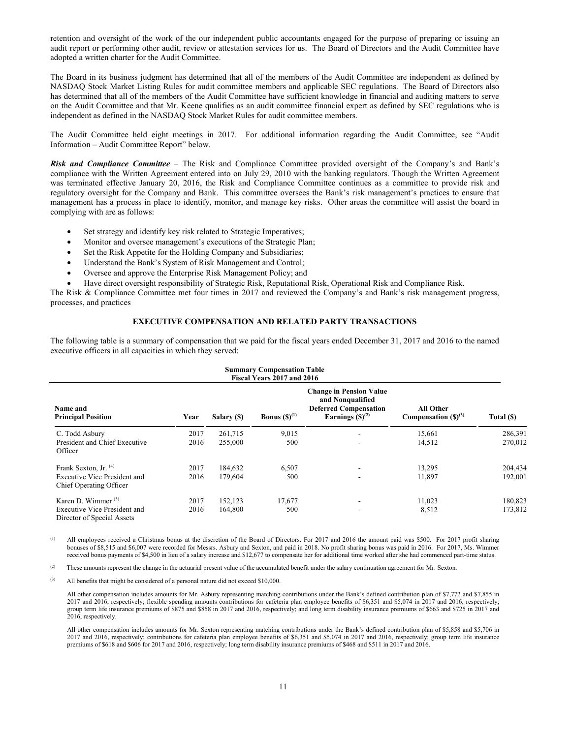retention and oversight of the work of the our independent public accountants engaged for the purpose of preparing or issuing an audit report or performing other audit, review or attestation services for us. The Board of Directors and the Audit Committee have adopted a written charter for the Audit Committee.

The Board in its business judgment has determined that all of the members of the Audit Committee are independent as defined by NASDAQ Stock Market Listing Rules for audit committee members and applicable SEC regulations. The Board of Directors also has determined that all of the members of the Audit Committee have sufficient knowledge in financial and auditing matters to serve on the Audit Committee and that Mr. Keene qualifies as an audit committee financial expert as defined by SEC regulations who is independent as defined in the NASDAQ Stock Market Rules for audit committee members.

The Audit Committee held eight meetings in 2017. For additional information regarding the Audit Committee, see "Audit Information – Audit Committee Report" below.

*Risk and Compliance Committee* – The Risk and Compliance Committee provided oversight of the Company's and Bank's compliance with the Written Agreement entered into on July 29, 2010 with the banking regulators. Though the Written Agreement was terminated effective January 20, 2016, the Risk and Compliance Committee continues as a committee to provide risk and regulatory oversight for the Company and Bank. This committee oversees the Bank's risk management's practices to ensure that management has a process in place to identify, monitor, and manage key risks. Other areas the committee will assist the board in complying with are as follows:

- Set strategy and identify key risk related to Strategic Imperatives;
- Monitor and oversee management's executions of the Strategic Plan;
- Set the Risk Appetite for the Holding Company and Subsidiaries;
- Understand the Bank's System of Risk Management and Control;
- Oversee and approve the Enterprise Risk Management Policy; and
- Have direct oversight responsibility of Strategic Risk, Reputational Risk, Operational Risk and Compliance Risk.

The Risk & Compliance Committee met four times in 2017 and reviewed the Company's and Bank's risk management progress, processes, and practices

### **EXECUTIVE COMPENSATION AND RELATED PARTY TRANSACTIONS**

The following table is a summary of compensation that we paid for the fiscal years ended December 31, 2017 and 2016 to the named executive officers in all capacities in which they served:

| <b>Summary Compensation Table</b><br>Fiscal Years 2017 and 2016                                    |              |                    |                   |                                                                                                            |                                              |                    |
|----------------------------------------------------------------------------------------------------|--------------|--------------------|-------------------|------------------------------------------------------------------------------------------------------------|----------------------------------------------|--------------------|
| Name and<br><b>Principal Position</b>                                                              | Year         | Salary (\$)        | Bonus $(S)^{(1)}$ | <b>Change in Pension Value</b><br>and Nonqualified<br><b>Deferred Compensation</b><br>Earnings $(S)^{(2)}$ | <b>All Other</b><br>Compensation $(S)^{(3)}$ | Total (\$)         |
| C. Todd Asbury<br>President and Chief Executive<br>Officer                                         | 2017<br>2016 | 261,715<br>255,000 | 9,015<br>500      | ٠                                                                                                          | 15,661<br>14,512                             | 286,391<br>270,012 |
| Frank Sexton, Jr. <sup>(4)</sup><br><b>Executive Vice President and</b><br>Chief Operating Officer | 2017<br>2016 | 184,632<br>179,604 | 6,507<br>500      | ۰<br>۰                                                                                                     | 13,295<br>11,897                             | 204,434<br>192,001 |
| Karen D. Wimmer $(5)$<br>Executive Vice President and<br>Director of Special Assets                | 2017<br>2016 | 152,123<br>164,800 | 17,677<br>500     |                                                                                                            | 11,023<br>8,512                              | 180,823<br>173,812 |

All employees received a Christmas bonus at the discretion of the Board of Directors. For 2017 and 2016 the amount paid was \$500. For 2017 profit sharing bonuses of \$8,515 and \$6,007 were recorded for Messrs. Asbury and Sexton, and paid in 2018. No profit sharing bonus was paid in 2016. For 2017, Ms. Wimmer received bonus payments of \$4,500 in lieu of a salary increase and \$12,677 to compensate her for additional time worked after she had commenced part-time status.

<sup>(2)</sup> These amounts represent the change in the actuarial present value of the accumulated benefit under the salary continuation agreement for Mr. Sexton.

(3) All benefits that might be considered of a personal nature did not exceed \$10,000.

All other compensation includes amounts for Mr. Asbury representing matching contributions under the Bank's defined contribution plan of \$7,772 and \$7,855 in 2017 and 2016, respectively; flexible spending amounts contributions for cafeteria plan employee benefits of \$6,351 and \$5,074 in 2017 and 2016, respectively; group term life insurance premiums of \$875 and \$858 in 2017 and 2016, respectively; and long term disability insurance premiums of \$663 and \$725 in 2017 and 2016, respectively.

All other compensation includes amounts for Mr. Sexton representing matching contributions under the Bank's defined contribution plan of \$5,858 and \$5,706 in 2017 and 2016, respectively; contributions for cafeteria plan employee benefits of \$6,351 and \$5,074 in 2017 and 2016, respectively; group term life insurance premiums of \$618 and \$606 for 2017 and 2016, respectively; long term disability insurance premiums of \$468 and \$511 in 2017 and 2016.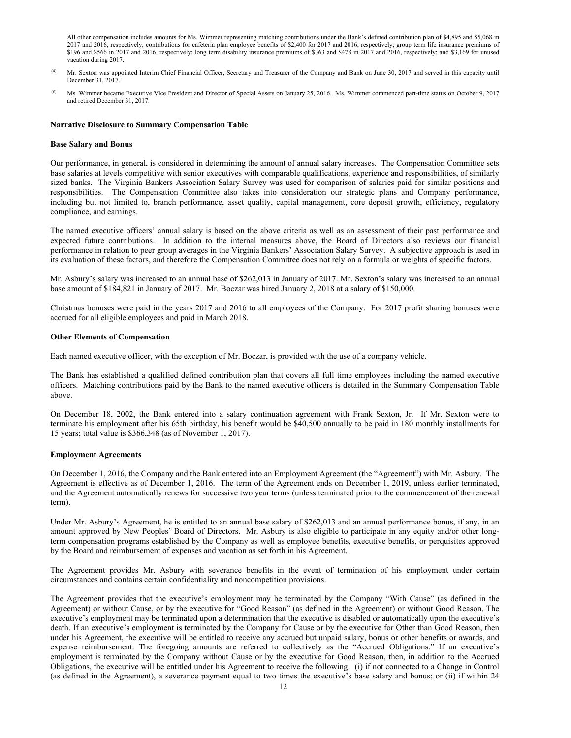All other compensation includes amounts for Ms. Wimmer representing matching contributions under the Bank's defined contribution plan of \$4,895 and \$5,068 in 2017 and 2016, respectively; contributions for cafeteria plan employee benefits of \$2,400 for 2017 and 2016, respectively; group term life insurance premiums of \$196 and \$566 in 2017 and 2016, respectively; long term disability insurance premiums of \$363 and \$478 in 2017 and 2016, respectively; and \$3,169 for unused vacation during 2017.

- (4) Mr. Sexton was appointed Interim Chief Financial Officer, Secretary and Treasurer of the Company and Bank on June 30, 2017 and served in this capacity until December 31, 2017.
- <sup>(5)</sup> Ms. Wimmer became Executive Vice President and Director of Special Assets on January 25, 2016. Ms. Wimmer commenced part-time status on October 9, 2017 and retired December 31, 2017.

#### **Narrative Disclosure to Summary Compensation Table**

#### **Base Salary and Bonus**

Our performance, in general, is considered in determining the amount of annual salary increases. The Compensation Committee sets base salaries at levels competitive with senior executives with comparable qualifications, experience and responsibilities, of similarly sized banks. The Virginia Bankers Association Salary Survey was used for comparison of salaries paid for similar positions and responsibilities. The Compensation Committee also takes into consideration our strategic plans and Company performance, including but not limited to, branch performance, asset quality, capital management, core deposit growth, efficiency, regulatory compliance, and earnings.

The named executive officers' annual salary is based on the above criteria as well as an assessment of their past performance and expected future contributions. In addition to the internal measures above, the Board of Directors also reviews our financial performance in relation to peer group averages in the Virginia Bankers' Association Salary Survey. A subjective approach is used in its evaluation of these factors, and therefore the Compensation Committee does not rely on a formula or weights of specific factors.

Mr. Asbury's salary was increased to an annual base of \$262,013 in January of 2017. Mr. Sexton's salary was increased to an annual base amount of \$184,821 in January of 2017. Mr. Boczar was hired January 2, 2018 at a salary of \$150,000.

Christmas bonuses were paid in the years 2017 and 2016 to all employees of the Company. For 2017 profit sharing bonuses were accrued for all eligible employees and paid in March 2018.

#### **Other Elements of Compensation**

Each named executive officer, with the exception of Mr. Boczar, is provided with the use of a company vehicle.

The Bank has established a qualified defined contribution plan that covers all full time employees including the named executive officers. Matching contributions paid by the Bank to the named executive officers is detailed in the Summary Compensation Table above.

On December 18, 2002, the Bank entered into a salary continuation agreement with Frank Sexton, Jr. If Mr. Sexton were to terminate his employment after his 65th birthday, his benefit would be \$40,500 annually to be paid in 180 monthly installments for 15 years; total value is \$366,348 (as of November 1, 2017).

### **Employment Agreements**

On December 1, 2016, the Company and the Bank entered into an Employment Agreement (the "Agreement") with Mr. Asbury. The Agreement is effective as of December 1, 2016. The term of the Agreement ends on December 1, 2019, unless earlier terminated, and the Agreement automatically renews for successive two year terms (unless terminated prior to the commencement of the renewal term).

Under Mr. Asbury's Agreement, he is entitled to an annual base salary of \$262,013 and an annual performance bonus, if any, in an amount approved by New Peoples' Board of Directors. Mr. Asbury is also eligible to participate in any equity and/or other longterm compensation programs established by the Company as well as employee benefits, executive benefits, or perquisites approved by the Board and reimbursement of expenses and vacation as set forth in his Agreement.

The Agreement provides Mr. Asbury with severance benefits in the event of termination of his employment under certain circumstances and contains certain confidentiality and noncompetition provisions.

The Agreement provides that the executive's employment may be terminated by the Company "With Cause" (as defined in the Agreement) or without Cause, or by the executive for "Good Reason" (as defined in the Agreement) or without Good Reason. The executive's employment may be terminated upon a determination that the executive is disabled or automatically upon the executive's death. If an executive's employment is terminated by the Company for Cause or by the executive for Other than Good Reason, then under his Agreement, the executive will be entitled to receive any accrued but unpaid salary, bonus or other benefits or awards, and expense reimbursement. The foregoing amounts are referred to collectively as the "Accrued Obligations." If an executive's employment is terminated by the Company without Cause or by the executive for Good Reason, then, in addition to the Accrued Obligations, the executive will be entitled under his Agreement to receive the following: (i) if not connected to a Change in Control (as defined in the Agreement), a severance payment equal to two times the executive's base salary and bonus; or (ii) if within 24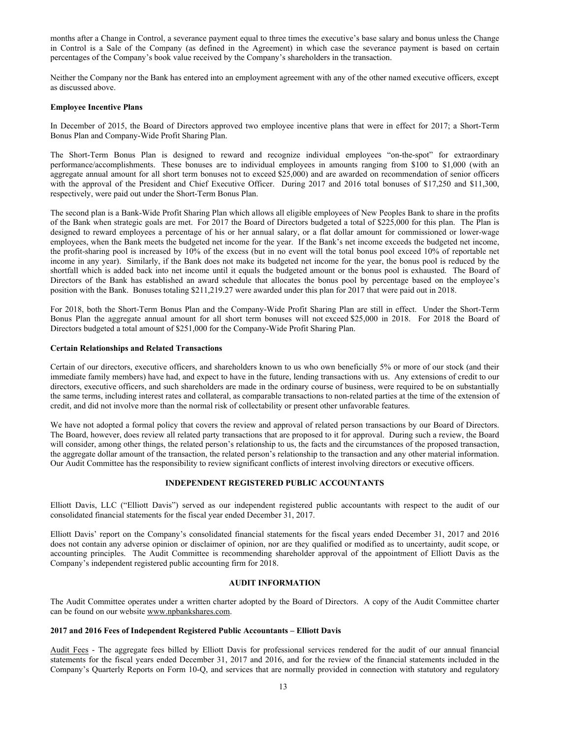months after a Change in Control, a severance payment equal to three times the executive's base salary and bonus unless the Change in Control is a Sale of the Company (as defined in the Agreement) in which case the severance payment is based on certain percentages of the Company's book value received by the Company's shareholders in the transaction.

Neither the Company nor the Bank has entered into an employment agreement with any of the other named executive officers, except as discussed above.

#### **Employee Incentive Plans**

In December of 2015, the Board of Directors approved two employee incentive plans that were in effect for 2017; a Short-Term Bonus Plan and Company-Wide Profit Sharing Plan.

The Short-Term Bonus Plan is designed to reward and recognize individual employees "on-the-spot" for extraordinary performance/accomplishments. These bonuses are to individual employees in amounts ranging from \$100 to \$1,000 (with an aggregate annual amount for all short term bonuses not to exceed \$25,000) and are awarded on recommendation of senior officers with the approval of the President and Chief Executive Officer. During 2017 and 2016 total bonuses of \$17,250 and \$11,300, respectively, were paid out under the Short-Term Bonus Plan.

The second plan is a Bank-Wide Profit Sharing Plan which allows all eligible employees of New Peoples Bank to share in the profits of the Bank when strategic goals are met. For 2017 the Board of Directors budgeted a total of \$225,000 for this plan. The Plan is designed to reward employees a percentage of his or her annual salary, or a flat dollar amount for commissioned or lower-wage employees, when the Bank meets the budgeted net income for the year. If the Bank's net income exceeds the budgeted net income, the profit-sharing pool is increased by 10% of the excess (but in no event will the total bonus pool exceed 10% of reportable net income in any year). Similarly, if the Bank does not make its budgeted net income for the year, the bonus pool is reduced by the shortfall which is added back into net income until it equals the budgeted amount or the bonus pool is exhausted. The Board of Directors of the Bank has established an award schedule that allocates the bonus pool by percentage based on the employee's position with the Bank. Bonuses totaling \$211,219.27 were awarded under this plan for 2017 that were paid out in 2018.

For 2018, both the Short-Term Bonus Plan and the Company-Wide Profit Sharing Plan are still in effect. Under the Short-Term Bonus Plan the aggregate annual amount for all short term bonuses will not exceed \$25,000 in 2018. For 2018 the Board of Directors budgeted a total amount of \$251,000 for the Company-Wide Profit Sharing Plan.

#### **Certain Relationships and Related Transactions**

Certain of our directors, executive officers, and shareholders known to us who own beneficially 5% or more of our stock (and their immediate family members) have had, and expect to have in the future, lending transactions with us. Any extensions of credit to our directors, executive officers, and such shareholders are made in the ordinary course of business, were required to be on substantially the same terms, including interest rates and collateral, as comparable transactions to non-related parties at the time of the extension of credit, and did not involve more than the normal risk of collectability or present other unfavorable features.

We have not adopted a formal policy that covers the review and approval of related person transactions by our Board of Directors. The Board, however, does review all related party transactions that are proposed to it for approval. During such a review, the Board will consider, among other things, the related person's relationship to us, the facts and the circumstances of the proposed transaction, the aggregate dollar amount of the transaction, the related person's relationship to the transaction and any other material information. Our Audit Committee has the responsibility to review significant conflicts of interest involving directors or executive officers.

### **INDEPENDENT REGISTERED PUBLIC ACCOUNTANTS**

Elliott Davis, LLC ("Elliott Davis") served as our independent registered public accountants with respect to the audit of our consolidated financial statements for the fiscal year ended December 31, 2017.

Elliott Davis' report on the Company's consolidated financial statements for the fiscal years ended December 31, 2017 and 2016 does not contain any adverse opinion or disclaimer of opinion, nor are they qualified or modified as to uncertainty, audit scope, or accounting principles. The Audit Committee is recommending shareholder approval of the appointment of Elliott Davis as the Company's independent registered public accounting firm for 2018.

### **AUDIT INFORMATION**

The Audit Committee operates under a written charter adopted by the Board of Directors. A copy of the Audit Committee charter can be found on our website www.npbankshares.com.

### **2017 and 2016 Fees of Independent Registered Public Accountants – Elliott Davis**

Audit Fees - The aggregate fees billed by Elliott Davis for professional services rendered for the audit of our annual financial statements for the fiscal years ended December 31, 2017 and 2016, and for the review of the financial statements included in the Company's Quarterly Reports on Form 10-Q, and services that are normally provided in connection with statutory and regulatory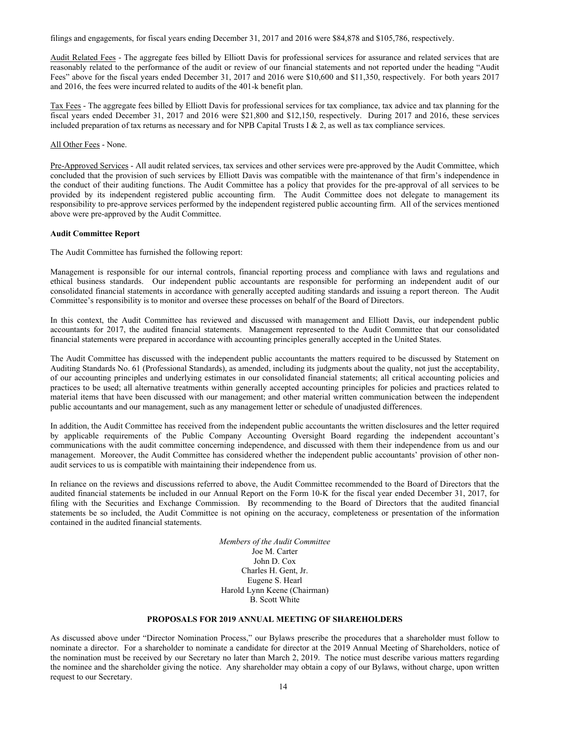filings and engagements, for fiscal years ending December 31, 2017 and 2016 were \$84,878 and \$105,786, respectively.

Audit Related Fees - The aggregate fees billed by Elliott Davis for professional services for assurance and related services that are reasonably related to the performance of the audit or review of our financial statements and not reported under the heading "Audit Fees" above for the fiscal years ended December 31, 2017 and 2016 were \$10,600 and \$11,350, respectively. For both years 2017 and 2016, the fees were incurred related to audits of the 401-k benefit plan.

Tax Fees - The aggregate fees billed by Elliott Davis for professional services for tax compliance, tax advice and tax planning for the fiscal years ended December 31, 2017 and 2016 were \$21,800 and \$12,150, respectively. During 2017 and 2016, these services included preparation of tax returns as necessary and for NPB Capital Trusts I & 2, as well as tax compliance services.

### All Other Fees - None.

Pre-Approved Services - All audit related services, tax services and other services were pre-approved by the Audit Committee, which concluded that the provision of such services by Elliott Davis was compatible with the maintenance of that firm's independence in the conduct of their auditing functions. The Audit Committee has a policy that provides for the pre-approval of all services to be provided by its independent registered public accounting firm. The Audit Committee does not delegate to management its responsibility to pre-approve services performed by the independent registered public accounting firm. All of the services mentioned above were pre-approved by the Audit Committee.

### **Audit Committee Report**

The Audit Committee has furnished the following report:

Management is responsible for our internal controls, financial reporting process and compliance with laws and regulations and ethical business standards. Our independent public accountants are responsible for performing an independent audit of our consolidated financial statements in accordance with generally accepted auditing standards and issuing a report thereon. The Audit Committee's responsibility is to monitor and oversee these processes on behalf of the Board of Directors.

In this context, the Audit Committee has reviewed and discussed with management and Elliott Davis, our independent public accountants for 2017, the audited financial statements. Management represented to the Audit Committee that our consolidated financial statements were prepared in accordance with accounting principles generally accepted in the United States.

The Audit Committee has discussed with the independent public accountants the matters required to be discussed by Statement on Auditing Standards No. 61 (Professional Standards), as amended, including its judgments about the quality, not just the acceptability, of our accounting principles and underlying estimates in our consolidated financial statements; all critical accounting policies and practices to be used; all alternative treatments within generally accepted accounting principles for policies and practices related to material items that have been discussed with our management; and other material written communication between the independent public accountants and our management, such as any management letter or schedule of unadjusted differences.

In addition, the Audit Committee has received from the independent public accountants the written disclosures and the letter required by applicable requirements of the Public Company Accounting Oversight Board regarding the independent accountant's communications with the audit committee concerning independence, and discussed with them their independence from us and our management. Moreover, the Audit Committee has considered whether the independent public accountants' provision of other nonaudit services to us is compatible with maintaining their independence from us.

In reliance on the reviews and discussions referred to above, the Audit Committee recommended to the Board of Directors that the audited financial statements be included in our Annual Report on the Form 10-K for the fiscal year ended December 31, 2017, for filing with the Securities and Exchange Commission. By recommending to the Board of Directors that the audited financial statements be so included, the Audit Committee is not opining on the accuracy, completeness or presentation of the information contained in the audited financial statements.

> *Members of the Audit Committee* Joe M. Carter John D. Cox Charles H. Gent, Jr. Eugene S. Hearl Harold Lynn Keene (Chairman) B. Scott White

### **PROPOSALS FOR 2019 ANNUAL MEETING OF SHAREHOLDERS**

As discussed above under "Director Nomination Process," our Bylaws prescribe the procedures that a shareholder must follow to nominate a director. For a shareholder to nominate a candidate for director at the 2019 Annual Meeting of Shareholders, notice of the nomination must be received by our Secretary no later than March 2, 2019. The notice must describe various matters regarding the nominee and the shareholder giving the notice. Any shareholder may obtain a copy of our Bylaws, without charge, upon written request to our Secretary.